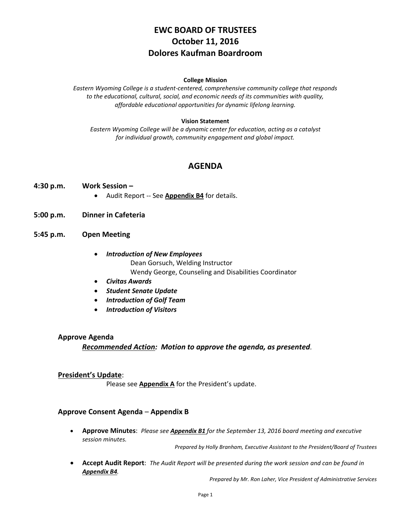# **EWC BOARD OF TRUSTEES October 11, 2016 Dolores Kaufman Boardroom**

#### **College Mission**

*Eastern Wyoming College is a student-centered, comprehensive community college that responds to the educational, cultural, social, and economic needs of its communities with quality, affordable educational opportunities for dynamic lifelong learning.*

#### **Vision Statement**

*Eastern Wyoming College will be a dynamic center for education, acting as a catalyst for individual growth, community engagement and global impact.*

# **AGENDA**

- **4:30 p.m. Work Session –**
	- **•** Audit Report -- See **Appendix B4** for details.
- **5:00 p.m. Dinner in Cafeteria**
- **5:45 p.m. Open Meeting**
	- *Introduction of New Employees* Dean Gorsuch, Welding Instructor Wendy George, Counseling and Disabilities Coordinator
	- *Civitas Awards*
	- *Student Senate Update*
	- *Introduction of Golf Team*
	- *Introduction of Visitors*

#### **Approve Agenda**

*Recommended Action: Motion to approve the agenda, as presented.*

#### **President's Update**:

Please see **Appendix A** for the President's update.

#### **Approve Consent Agenda** – **Appendix B**

 **Approve Minutes**: *Please see Appendix B1 for the September 13, 2016 board meeting and executive session minutes.*

*Prepared by Holly Branham, Executive Assistant to the President/Board of Trustees*

 **Accept Audit Report**: *The Audit Report will be presented during the work session and can be found in Appendix B4.*

*Prepared by Mr. Ron Laher, Vice President of Administrative Services*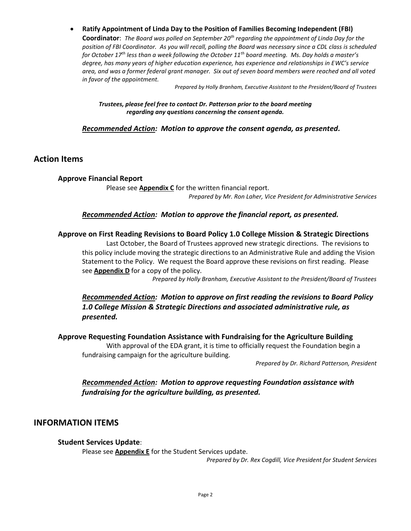**Ratify Appointment of Linda Day to the Position of Families Becoming Independent (FBI) Coordinator**: *The Board was polled on September 20th regarding the appointment of Linda Day for the position of FBI Coordinator. As you will recall, polling the Board was necessary since a CDL class is scheduled for October 17th less than a week following the October 11th board meeting. Ms. Day holds a master's degree, has many years of higher education experience, has experience and relationships in EWC's service area, and was a former federal grant manager. Six out of seven board members were reached and all voted in favor of the appointment.* 

*Prepared by Holly Branham, Executive Assistant to the President/Board of Trustees*

*Trustees, please feel free to contact Dr. Patterson prior to the board meeting regarding any questions concerning the consent agenda.*

### *Recommended Action: Motion to approve the consent agenda, as presented.*

# **Action Items**

### **Approve Financial Report**

Please see **Appendix C** for the written financial report. *Prepared by Mr. Ron Laher, Vice President for Administrative Services*

### *Recommended Action: Motion to approve the financial report, as presented.*

### **Approve on First Reading Revisions to Board Policy 1.0 College Mission & Strategic Directions**

Last October, the Board of Trustees approved new strategic directions. The revisions to this policy include moving the strategic directions to an Administrative Rule and adding the Vision Statement to the Policy. We request the Board approve these revisions on first reading. Please see **Appendix D** for a copy of the policy.

*Prepared by Holly Branham, Executive Assistant to the President/Board of Trustees*

# *Recommended Action: Motion to approve on first reading the revisions to Board Policy 1.0 College Mission & Strategic Directions and associated administrative rule, as presented.*

### **Approve Requesting Foundation Assistance with Fundraising for the Agriculture Building**

With approval of the EDA grant, it is time to officially request the Foundation begin a fundraising campaign for the agriculture building.

*Prepared by Dr. Richard Patterson, President*

# *Recommended Action: Motion to approve requesting Foundation assistance with fundraising for the agriculture building, as presented.*

# **INFORMATION ITEMS**

### **Student Services Update**:

Please see **Appendix E** for the Student Services update.

*Prepared by Dr. Rex Cogdill, Vice President for Student Services*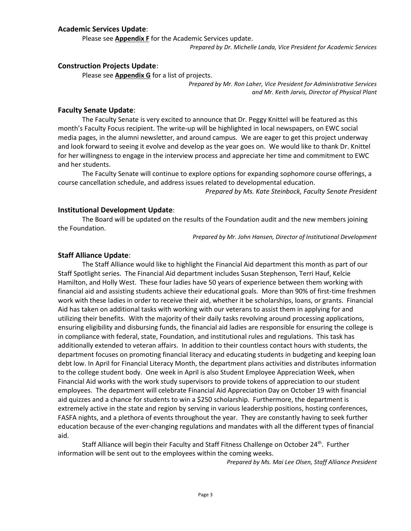### **Academic Services Update**:

Please see **Appendix F** for the Academic Services update.

*Prepared by Dr. Michelle Landa, Vice President for Academic Services*

#### **Construction Projects Update**:

Please see **Appendix G** for a list of projects.

*Prepared by Mr. Ron Laher, Vice President for Administrative Services and Mr. Keith Jarvis, Director of Physical Plant*

#### **Faculty Senate Update**:

The Faculty Senate is very excited to announce that Dr. Peggy Knittel will be featured as this month's Faculty Focus recipient. The write-up will be highlighted in local newspapers, on EWC social media pages, in the alumni newsletter, and around campus. We are eager to get this project underway and look forward to seeing it evolve and develop as the year goes on. We would like to thank Dr. Knittel for her willingness to engage in the interview process and appreciate her time and commitment to EWC and her students.

The Faculty Senate will continue to explore options for expanding sophomore course offerings, a course cancellation schedule, and address issues related to developmental education.

*Prepared by Ms. Kate Steinbock, Faculty Senate President*

#### **Institutional Development Update**:

The Board will be updated on the results of the Foundation audit and the new members joining the Foundation.

*Prepared by Mr. John Hansen, Director of Institutional Development*

#### **Staff Alliance Update**:

The Staff Alliance would like to highlight the Financial Aid department this month as part of our Staff Spotlight series. The Financial Aid department includes Susan Stephenson, Terri Hauf, Kelcie Hamilton, and Holly West. These four ladies have 50 years of experience between them working with financial aid and assisting students achieve their educational goals. More than 90% of first-time freshmen work with these ladies in order to receive their aid, whether it be scholarships, loans, or grants. Financial Aid has taken on additional tasks with working with our veterans to assist them in applying for and utilizing their benefits. With the majority of their daily tasks revolving around processing applications, ensuring eligibility and disbursing funds, the financial aid ladies are responsible for ensuring the college is in compliance with federal, state, Foundation, and institutional rules and regulations. This task has additionally extended to veteran affairs. In addition to their countless contact hours with students, the department focuses on promoting financial literacy and educating students in budgeting and keeping loan debt low. In April for Financial Literacy Month, the department plans activities and distributes information to the college student body. One week in April is also Student Employee Appreciation Week, when Financial Aid works with the work study supervisors to provide tokens of appreciation to our student employees. The department will celebrate Financial Aid Appreciation Day [on October](x-apple-data-detectors://1/) [19](x-apple-data-detectors://1/) with financial aid quizzes and a chance for students to win a \$250 scholarship. Furthermore, the department is extremely active in the state and region by serving in various leadership positions, hosting conferences, FASFA nights, and a plethora of events throughout the year. They are constantly having to seek further education because of the ever-changing regulations and mandates with all the different types of financial aid.

Staff Alliance will begin their Faculty and Staff Fitness Challenge [on October 24](x-apple-data-detectors://2/)<sup>[th](x-apple-data-detectors://2/)</sup>[.](x-apple-data-detectors://2/) Further information will be sent out to the employees within the coming weeks.

*Prepared by Ms. Mai Lee Olsen, Staff Alliance President*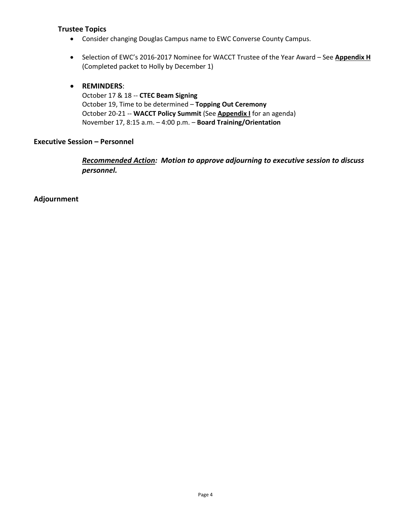# **Trustee Topics**

- Consider changing Douglas Campus name to EWC Converse County Campus.
- Selection of EWC's 2016-2017 Nominee for WACCT Trustee of the Year Award See **Appendix H** (Completed packet to Holly by December 1)

# **REMINDERS**:

October 17 & 18 -- **CTEC Beam Signing** October 19, Time to be determined – **Topping Out Ceremony** October 20-21 -- **WACCT Policy Summit** (See **Appendix I** for an agenda) November 17, 8:15 a.m. – 4:00 p.m. – **Board Training/Orientation** 

## **Executive Session – Personnel**

*Recommended Action: Motion to approve adjourning to executive session to discuss personnel.*

**Adjournment**